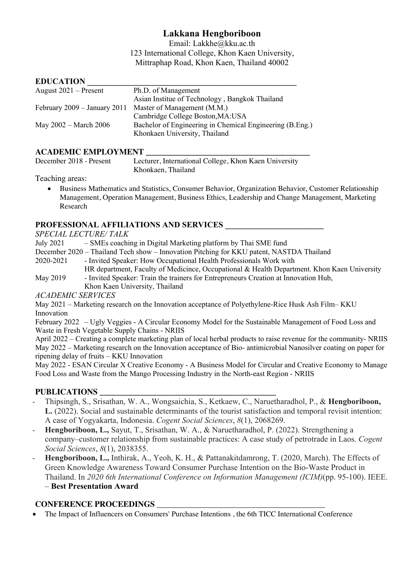# **Lakkana Hengboriboon**

Email: Lakkhe@kku.ac.th 123 International College, Khon Kaen University, Mittraphap Road, Khon Kaen, Thailand 40002

### $EDIICATION$

| Ph.D. of Management                                      |
|----------------------------------------------------------|
| Asian Institue of Technology, Bangkok Thailand           |
| Master of Management (M.M.)                              |
| Cambridge College Boston, MA: USA                        |
| Bachelor of Engineering in Chemical Engineering (B.Eng.) |
| Khonkaen University, Thailand                            |
|                                                          |

### **ACADEMIC EMPLOYMENT \_\_\_\_\_\_\_\_\_\_\_\_\_\_\_\_\_\_\_\_\_\_\_\_\_\_\_\_\_\_\_\_\_\_\_\_\_\_\_\_**

December 2018 - Present Lecturer, International College, Khon Kaen University Khonkaen, Thailand

Teaching areas:

• Business Mathematics and Statistics, Consumer Behavior, Organization Behavior, Customer Relationship Management, Operation Management, Business Ethics, Leadership and Change Management, Marketing Research

# **PROFESSIONAL AFFILIATIONS AND SERVICES \_\_\_\_\_\_\_\_\_\_\_\_\_\_\_\_\_\_\_\_\_\_\_\_**

*SPECIAL LECTURE/ TALK*

July 2021 – SMEs coaching in Digital Marketing platform by Thai SME fund

December 2020 – Thailand Tech show – Innovation Pitching for KKU patent, NASTDA Thailand

2020-2021 - Invited Speaker: How Occupational Health Professionals Work with

HR department, Faculty of Medicince, Occupational & Health Department. Khon Kaen University May 2019 - Invited Speaker: Train the trainers for Entrepreneurs Creation at Innovation Hub,

Khon Kaen University, Thailand

*ACADEMIC SERVICES*

May 2021 – Marketing research on the Innovation acceptance of Polyethylene-Rice Husk Ash Film– KKU Innovation

February 2022 – Ugly Veggies - A Circular Economy Model for the Sustainable Management of Food Loss and Waste in Fresh Vegetable Supply Chains - NRIIS

April 2022 – Creating a complete marketing plan of local herbal products to raise revenue for the community- NRIIS May 2022 – Marketing research on the Innovation acceptance of Bio- antimicrobial Nanosilver coating on paper for ripening delay of fruits – KKU Innovation

May 2022 - ESAN Circular X Creative Economy - A Business Model for Circular and Creative Economy to Manage Food Loss and Waste from the Mango Processing Industry in the North-east Region - NRIIS

# **PUBLICATIONS \_\_\_\_\_\_\_\_\_\_\_\_\_\_\_\_\_\_\_\_\_\_\_\_\_\_\_\_\_\_\_\_\_\_\_\_\_\_\_\_\_\_\_**

- Thipsingh, S., Srisathan, W. A., Wongsaichia, S., Ketkaew, C., Naruetharadhol, P., & **Hengboriboon, L.** (2022). Social and sustainable determinants of the tourist satisfaction and temporal revisit intention: A case of Yogyakarta, Indonesia. *Cogent Social Sciences*, *8*(1), 2068269.
- **Hengboriboon, L.,** Sayut, T., Srisathan, W. A., & Naruetharadhol, P. (2022). Strengthening a company–customer relationship from sustainable practices: A case study of petrotrade in Laos. *Cogent Social Sciences*, *8*(1), 2038355.
- **Hengboriboon, L.,** Inthirak, A., Yeoh, K. H., & Pattanakitdamrong, T. (2020, March). The Effects of Green Knowledge Awareness Toward Consumer Purchase Intention on the Bio-Waste Product in Thailand. In *2020 6th International Conference on Information Management (ICIM)*(pp. 95-100). IEEE. – **Best Presentation Award**

# **CONFERENCE PROCEEDINGS** \_\_\_\_\_\_\_\_\_\_\_\_\_\_\_\_\_\_\_\_\_\_\_\_\_\_\_\_\_\_\_\_\_\_\_\_\_\_\_\_\_

• The Impact of Influencers on Consumers' Purchase Intentions , the 6th TICC International Conference